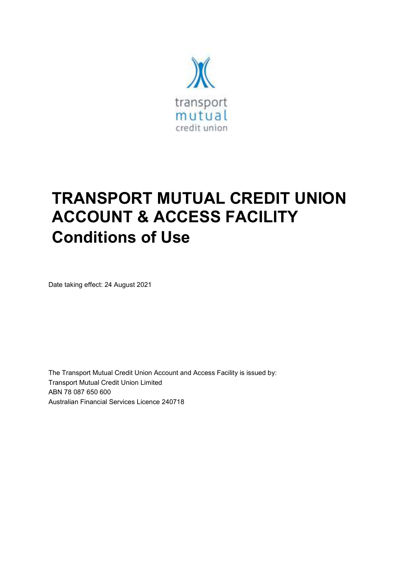

# **TRANSPORT MUTUAL CREDIT UNION ACCOUNT & ACCESS FACILITY Conditions of Use**

Date taking effect: 24 August 2021

The Transport Mutual Credit Union Account and Access Facility is issued by: Transport Mutual Credit Union Limited ABN 78 087 650 600 Australian Financial Services Licence 240718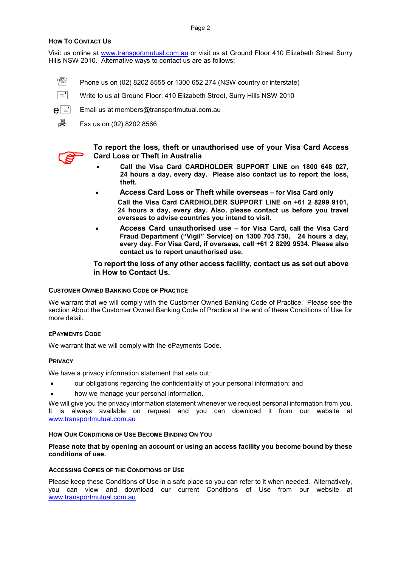## **HOW TO CONTACT US**

Visit us online at www.transportmutual.com.au or visit us at Ground Floor 410 Elizabeth Street Surry Hills NSW 2010. Alternative ways to contact us are as follows:

- $\mathbb{R}$  Phone us on (02) 8202 8555 or 1300 652 274 (NSW country or interstate)
- $\boxed{\equiv}$  Write to us at Ground Floor, 410 Elizabeth Street, Surry Hills NSW 2010
- $\mathsf{e} =$  Email us at members@transportmutual.com.au
	- 具 Fax us on (02) 8202 8566



**To report the loss, theft or unauthorised use of your Visa Card Access Card Loss or Theft in Australia** 

- **Call the Visa Card CARDHOLDER SUPPORT LINE on 1800 648 027, 24 hours a day, every day. Please also contact us to report the loss, theft.**
- **Access Card Loss or Theft while overseas for Visa Card only Call the Visa Card CARDHOLDER SUPPORT LINE on +61 2 8299 9101, 24 hours a day, every day. Also, please contact us before you travel overseas to advise countries you intend to visit.**
- **Access Card unauthorised use for Visa Card, call the Visa Card Fraud Department ("Vigil" Service) on 1300 705 750, 24 hours a day, every day. For Visa Card, if overseas, call +61 2 8299 9534. Please also contact us to report unauthorised use.**

**To report the loss of any other access facility, contact us as set out above in How to Contact Us.** 

#### **CUSTOMER OWNED BANKING CODE OF PRACTICE**

We warrant that we will comply with the Customer Owned Banking Code of Practice. Please see the section About the Customer Owned Banking Code of Practice at the end of these Conditions of Use for more detail.

#### **EPAYMENTS CODE**

We warrant that we will comply with the ePayments Code.

#### **PRIVACY**

We have a privacy information statement that sets out:

- our obligations regarding the confidentiality of your personal information; and
- how we manage your personal information.

We will give you the privacy information statement whenever we request personal information from you. It is always available on request and you can download it from our website at www.transportmutual.com.au

#### **HOW OUR CONDITIONS OF USE BECOME BINDING ON YOU**

#### **Please note that by opening an account or using an access facility you become bound by these conditions of use.**

#### **ACCESSING COPIES OF THE CONDITIONS OF USE**

Please keep these Conditions of Use in a safe place so you can refer to it when needed. Alternatively, you can view and download our current Conditions of Use from our website at www.transportmutual.com.au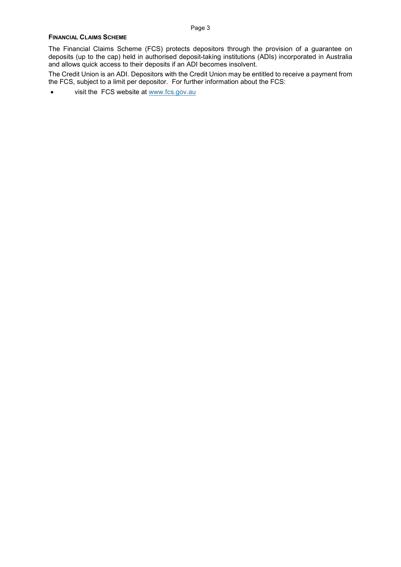#### **FINANCIAL CLAIMS SCHEME**

The Financial Claims Scheme (FCS) protects depositors through the provision of a guarantee on deposits (up to the cap) held in authorised deposit-taking institutions (ADIs) incorporated in Australia and allows quick access to their deposits if an ADI becomes insolvent.

The Credit Union is an ADI. Depositors with the Credit Union may be entitled to receive a payment from the FCS, subject to a limit per depositor. For further information about the FCS:

• visit the FCS website at www.fcs.gov.au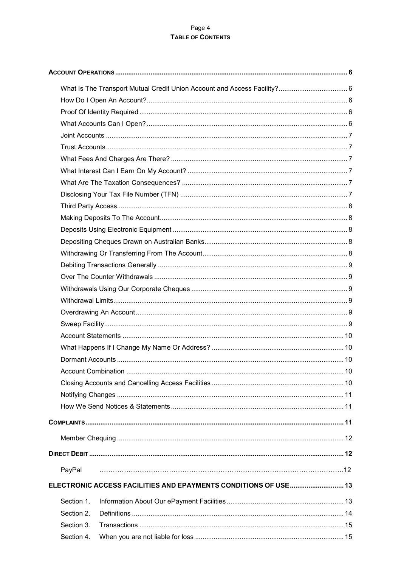## Page 4 TABLE OF CONTENTS

| PayPal     |                                                                 |  |  |  |
|------------|-----------------------------------------------------------------|--|--|--|
|            | ELECTRONIC ACCESS FACILITIES AND EPAYMENTS CONDITIONS OF USE 13 |  |  |  |
| Section 1. |                                                                 |  |  |  |
| Section 2. |                                                                 |  |  |  |
| Section 3. |                                                                 |  |  |  |
| Section 4. |                                                                 |  |  |  |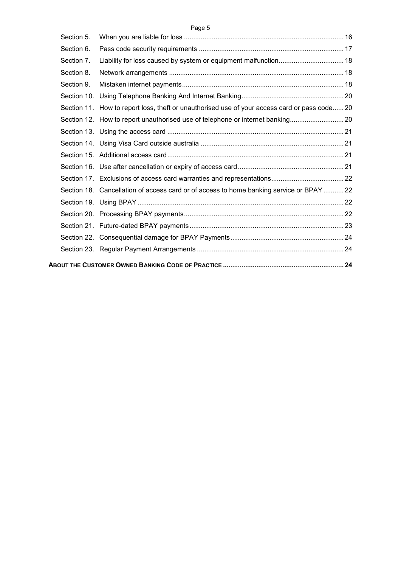|--|--|

| Section 5. |                                                                                               |  |
|------------|-----------------------------------------------------------------------------------------------|--|
| Section 6. |                                                                                               |  |
| Section 7. |                                                                                               |  |
| Section 8. |                                                                                               |  |
| Section 9. |                                                                                               |  |
|            |                                                                                               |  |
|            | Section 11. How to report loss, theft or unauthorised use of your access card or pass code 20 |  |
|            |                                                                                               |  |
|            |                                                                                               |  |
|            |                                                                                               |  |
|            |                                                                                               |  |
|            |                                                                                               |  |
|            |                                                                                               |  |
|            | Section 18. Cancellation of access card or of access to home banking service or BPAY  22      |  |
|            |                                                                                               |  |
|            |                                                                                               |  |
|            |                                                                                               |  |
|            |                                                                                               |  |
|            |                                                                                               |  |
|            |                                                                                               |  |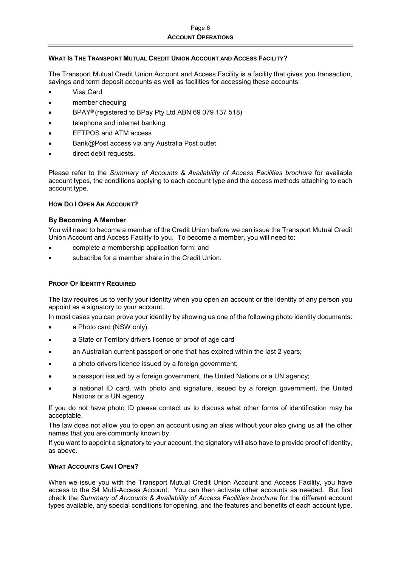## **WHAT IS THE TRANSPORT MUTUAL CREDIT UNION ACCOUNT AND ACCESS FACILITY?**

The Transport Mutual Credit Union Account and Access Facility is a facility that gives you transaction, savings and term deposit accounts as well as facilities for accessing these accounts:

- Visa Card
- member chequing
- BPAY® (registered to BPay Pty Ltd ABN 69 079 137 518)
- telephone and internet banking
- EFTPOS and ATM access
- Bank@Post access via any Australia Post outlet
- direct debit requests.

Please refer to the *Summary of Accounts & Availability of Access Facilities brochure* for available account types, the conditions applying to each account type and the access methods attaching to each account type.

## **HOW DO I OPEN AN ACCOUNT?**

## **By Becoming A Member**

You will need to become a member of the Credit Union before we can issue the Transport Mutual Credit Union Account and Access Facility to you. To become a member, you will need to:

- complete a membership application form; and
- subscribe for a member share in the Credit Union.

## **PROOF OF IDENTITY REQUIRED**

The law requires us to verify your identity when you open an account or the identity of any person you appoint as a signatory to your account.

In most cases you can prove your identity by showing us one of the following photo identity documents:

- a Photo card (NSW only)
- a State or Territory drivers licence or proof of age card
- an Australian current passport or one that has expired within the last 2 years;
- a photo drivers licence issued by a foreign government;
- a passport issued by a foreign government, the United Nations or a UN agency;
- a national ID card, with photo and signature, issued by a foreign government, the United Nations or a UN agency.

If you do not have photo ID please contact us to discuss what other forms of identification may be acceptable.

The law does not allow you to open an account using an alias without your also giving us all the other names that you are commonly known by.

If you want to appoint a signatory to your account, the signatory will also have to provide proof of identity, as above.

## **WHAT ACCOUNTS CAN I OPEN?**

When we issue you with the Transport Mutual Credit Union Account and Access Facility, you have access to the S4 Multi-Access Account. You can then activate other accounts as needed. But first check the *Summary of Accounts & Availability of Access Facilities brochure* for the different account types available, any special conditions for opening, and the features and benefits of each account type.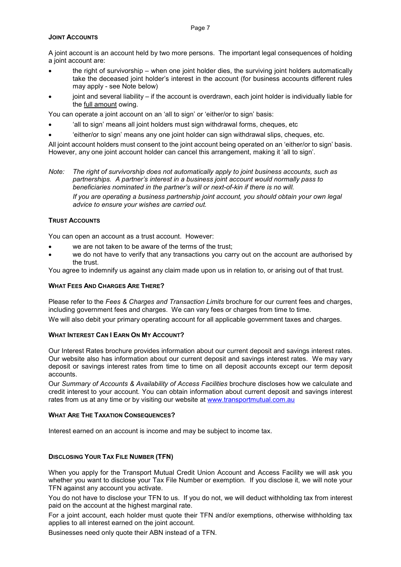#### Page 7

#### **JOINT ACCOUNTS**

A joint account is an account held by two more persons. The important legal consequences of holding a joint account are:

- the right of survivorship when one joint holder dies, the surviving joint holders automatically take the deceased joint holder's interest in the account (for business accounts different rules may apply - see Note below)
- joint and several liability if the account is overdrawn, each joint holder is individually liable for the full amount owing.

You can operate a joint account on an 'all to sign' or 'either/or to sign' basis:

- 'all to sign' means all joint holders must sign withdrawal forms, cheques, etc
- 'either/or to sign' means any one joint holder can sign withdrawal slips, cheques, etc.

All joint account holders must consent to the joint account being operated on an 'either/or to sign' basis. However, any one joint account holder can cancel this arrangement, making it 'all to sign'.

*Note: The right of survivorship does not automatically apply to joint business accounts, such as partnerships. A partner's interest in a business joint account would normally pass to beneficiaries nominated in the partner's will or next-of-kin if there is no will.* 

*If you are operating a business partnership joint account, you should obtain your own legal advice to ensure your wishes are carried out.* 

## **TRUST ACCOUNTS**

You can open an account as a trust account. However:

- we are not taken to be aware of the terms of the trust;
- we do not have to verify that any transactions you carry out on the account are authorised by the trust.

You agree to indemnify us against any claim made upon us in relation to, or arising out of that trust.

#### **WHAT FEES AND CHARGES ARE THERE?**

Please refer to the *Fees & Charges and Transaction Limits* brochure for our current fees and charges, including government fees and charges. We can vary fees or charges from time to time.

We will also debit your primary operating account for all applicable government taxes and charges.

## **WHAT INTEREST CAN I EARN ON MY ACCOUNT?**

Our Interest Rates brochure provides information about our current deposit and savings interest rates. Our website also has information about our current deposit and savings interest rates. We may vary deposit or savings interest rates from time to time on all deposit accounts except our term deposit accounts.

Our *Summary of Accounts & Availability of Access Facilities* brochure discloses how we calculate and credit interest to your account. You can obtain information about current deposit and savings interest rates from us at any time or by visiting our website at www.transportmutual.com.au

## **WHAT ARE THE TAXATION CONSEQUENCES?**

Interest earned on an account is income and may be subject to income tax.

## **DISCLOSING YOUR TAX FILE NUMBER (TFN)**

When you apply for the Transport Mutual Credit Union Account and Access Facility we will ask you whether you want to disclose your Tax File Number or exemption. If you disclose it, we will note your TFN against any account you activate.

You do not have to disclose your TFN to us. If you do not, we will deduct withholding tax from interest paid on the account at the highest marginal rate.

For a joint account, each holder must quote their TFN and/or exemptions, otherwise withholding tax applies to all interest earned on the joint account.

Businesses need only quote their ABN instead of a TFN.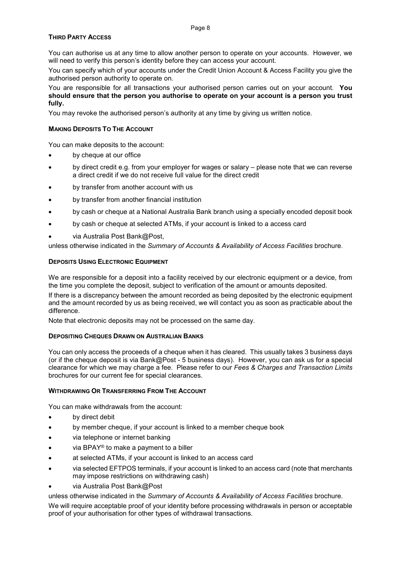#### Page 8

## **THIRD PARTY ACCESS**

You can authorise us at any time to allow another person to operate on your accounts. However, we will need to verify this person's identity before they can access your account.

You can specify which of your accounts under the Credit Union Account & Access Facility you give the authorised person authority to operate on.

You are responsible for all transactions your authorised person carries out on your account. **You should ensure that the person you authorise to operate on your account is a person you trust fully.** 

You may revoke the authorised person's authority at any time by giving us written notice.

#### **MAKING DEPOSITS TO THE ACCOUNT**

You can make deposits to the account:

- by cheque at our office
- by direct credit e.g. from your employer for wages or salary please note that we can reverse a direct credit if we do not receive full value for the direct credit
- by transfer from another account with us
- by transfer from another financial institution
- by cash or cheque at a National Australia Bank branch using a specially encoded deposit book
- by cash or cheque at selected ATMs, if your account is linked to a access card
- via Australia Post Bank@Post,

unless otherwise indicated in the *Summary of Accounts & Availability of Access Facilities* brochure.

## **DEPOSITS USING ELECTRONIC EQUIPMENT**

We are responsible for a deposit into a facility received by our electronic equipment or a device, from the time you complete the deposit, subject to verification of the amount or amounts deposited.

If there is a discrepancy between the amount recorded as being deposited by the electronic equipment and the amount recorded by us as being received, we will contact you as soon as practicable about the difference.

Note that electronic deposits may not be processed on the same day.

#### **DEPOSITING CHEQUES DRAWN ON AUSTRALIAN BANKS**

You can only access the proceeds of a cheque when it has cleared. This usually takes 3 business days (or if the cheque deposit is via Bank@Post - 5 business days). However, you can ask us for a special clearance for which we may charge a fee. Please refer to our *Fees & Charges and Transaction Limits* brochures for our current fee for special clearances.

#### **WITHDRAWING OR TRANSFERRING FROM THE ACCOUNT**

You can make withdrawals from the account:

- by direct debit
- by member cheque, if your account is linked to a member cheque book
- via telephone or internet banking
- via BPAY<sup>®</sup> to make a payment to a biller
- at selected ATMs, if your account is linked to an access card
- via selected EFTPOS terminals, if your account is linked to an access card (note that merchants may impose restrictions on withdrawing cash)
- via Australia Post Bank@Post

unless otherwise indicated in the *Summary of Accounts & Availability of Access Facilities* brochure. We will require acceptable proof of your identity before processing withdrawals in person or acceptable proof of your authorisation for other types of withdrawal transactions.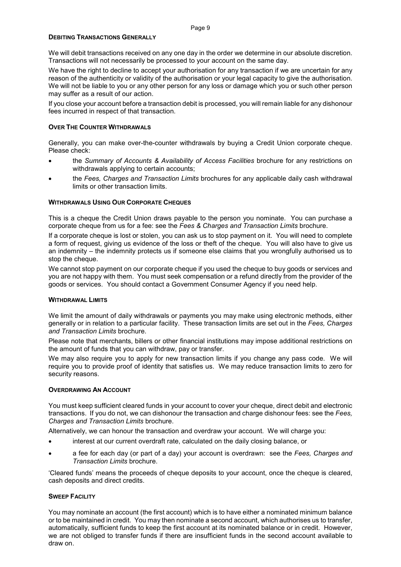## **DEBITING TRANSACTIONS GENERALLY**

We will debit transactions received on any one day in the order we determine in our absolute discretion. Transactions will not necessarily be processed to your account on the same day.

We have the right to decline to accept your authorisation for any transaction if we are uncertain for any reason of the authenticity or validity of the authorisation or your legal capacity to give the authorisation. We will not be liable to you or any other person for any loss or damage which you or such other person may suffer as a result of our action.

If you close your account before a transaction debit is processed, you will remain liable for any dishonour fees incurred in respect of that transaction.

#### **OVER THE COUNTER WITHDRAWALS**

Generally, you can make over-the-counter withdrawals by buying a Credit Union corporate cheque. Please check:

- the *Summary of Accounts & Availability of Access Facilities* brochure for any restrictions on withdrawals applying to certain accounts;
- the *Fees, Charges and Transaction Limits* brochures for any applicable daily cash withdrawal limits or other transaction limits.

#### **WITHDRAWALS USING OUR CORPORATE CHEQUES**

This is a cheque the Credit Union draws payable to the person you nominate. You can purchase a corporate cheque from us for a fee: see the *Fees & Charges and Transaction Limits* brochure.

If a corporate cheque is lost or stolen, you can ask us to stop payment on it. You will need to complete a form of request, giving us evidence of the loss or theft of the cheque. You will also have to give us an indemnity – the indemnity protects us if someone else claims that you wrongfully authorised us to stop the cheque.

We cannot stop payment on our corporate cheque if you used the cheque to buy goods or services and you are not happy with them. You must seek compensation or a refund directly from the provider of the goods or services. You should contact a Government Consumer Agency if you need help.

#### **WITHDRAWAL LIMITS**

We limit the amount of daily withdrawals or payments you may make using electronic methods, either generally or in relation to a particular facility. These transaction limits are set out in the *Fees, Charges and Transaction Limits* brochure.

Please note that merchants, billers or other financial institutions may impose additional restrictions on the amount of funds that you can withdraw, pay or transfer.

We may also require you to apply for new transaction limits if you change any pass code. We will require you to provide proof of identity that satisfies us. We may reduce transaction limits to zero for security reasons.

#### **OVERDRAWING AN ACCOUNT**

You must keep sufficient cleared funds in your account to cover your cheque, direct debit and electronic transactions. If you do not, we can dishonour the transaction and charge dishonour fees: see the *Fees, Charges and Transaction Limits* brochure.

Alternatively, we can honour the transaction and overdraw your account. We will charge you:

- interest at our current overdraft rate, calculated on the daily closing balance, or
- a fee for each day (or part of a day) your account is overdrawn: see the *Fees, Charges and Transaction Limits* brochure.

'Cleared funds' means the proceeds of cheque deposits to your account, once the cheque is cleared, cash deposits and direct credits.

## **SWEEP FACILITY**

You may nominate an account (the first account) which is to have either a nominated minimum balance or to be maintained in credit. You may then nominate a second account, which authorises us to transfer, automatically, sufficient funds to keep the first account at its nominated balance or in credit. However, we are not obliged to transfer funds if there are insufficient funds in the second account available to draw on.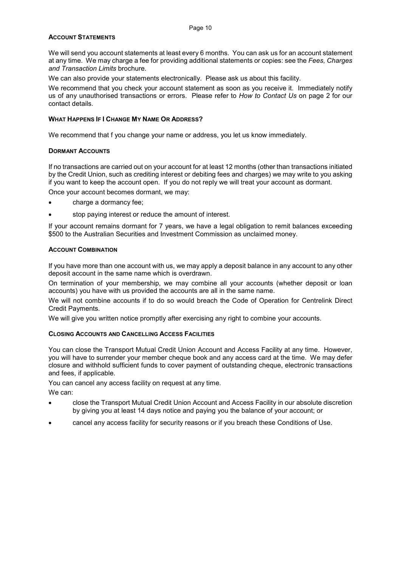### **ACCOUNT STATEMENTS**

We will send you account statements at least every 6 months. You can ask us for an account statement at any time. We may charge a fee for providing additional statements or copies: see the *Fees, Charges and Transaction Limits* brochure.

We can also provide your statements electronically. Please ask us about this facility.

We recommend that you check your account statement as soon as you receive it. Immediately notify us of any unauthorised transactions or errors. Please refer to *How to Contact Us* on page 2 for our contact details.

#### **WHAT HAPPENS IF I CHANGE MY NAME OR ADDRESS?**

We recommend that f you change your name or address, you let us know immediately.

#### **DORMANT ACCOUNTS**

If no transactions are carried out on your account for at least 12 months (other than transactions initiated by the Credit Union, such as crediting interest or debiting fees and charges) we may write to you asking if you want to keep the account open. If you do not reply we will treat your account as dormant.

Once your account becomes dormant, we may:

- charge a dormancy fee;
- stop paying interest or reduce the amount of interest.

If your account remains dormant for 7 years, we have a legal obligation to remit balances exceeding \$500 to the Australian Securities and Investment Commission as unclaimed money.

#### **ACCOUNT COMBINATION**

If you have more than one account with us, we may apply a deposit balance in any account to any other deposit account in the same name which is overdrawn.

On termination of your membership, we may combine all your accounts (whether deposit or loan accounts) you have with us provided the accounts are all in the same name.

We will not combine accounts if to do so would breach the Code of Operation for Centrelink Direct Credit Payments.

We will give you written notice promptly after exercising any right to combine your accounts.

#### **CLOSING ACCOUNTS AND CANCELLING ACCESS FACILITIES**

You can close the Transport Mutual Credit Union Account and Access Facility at any time. However, you will have to surrender your member cheque book and any access card at the time. We may defer closure and withhold sufficient funds to cover payment of outstanding cheque, electronic transactions and fees, if applicable.

You can cancel any access facility on request at any time.

We can:

- close the Transport Mutual Credit Union Account and Access Facility in our absolute discretion by giving you at least 14 days notice and paying you the balance of your account; or
- cancel any access facility for security reasons or if you breach these Conditions of Use.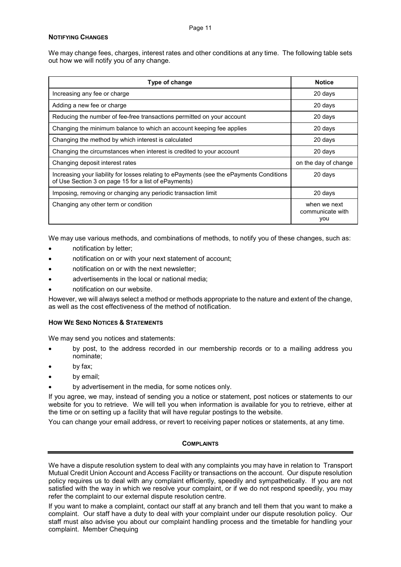## **NOTIFYING CHANGES**

We may change fees, charges, interest rates and other conditions at any time. The following table sets out how we will notify you of any change.

| Type of change                                                                                                                                   | <b>Notice</b>                           |  |
|--------------------------------------------------------------------------------------------------------------------------------------------------|-----------------------------------------|--|
| Increasing any fee or charge                                                                                                                     | 20 days                                 |  |
| Adding a new fee or charge                                                                                                                       | 20 days                                 |  |
| Reducing the number of fee-free transactions permitted on your account                                                                           | 20 days                                 |  |
| Changing the minimum balance to which an account keeping fee applies                                                                             | 20 days                                 |  |
| Changing the method by which interest is calculated                                                                                              | 20 days                                 |  |
| Changing the circumstances when interest is credited to your account                                                                             | 20 days                                 |  |
| Changing deposit interest rates                                                                                                                  | on the day of change                    |  |
| Increasing your liability for losses relating to ePayments (see the ePayments Conditions<br>of Use Section 3 on page 15 for a list of ePayments) | 20 days                                 |  |
| Imposing, removing or changing any periodic transaction limit                                                                                    | 20 days                                 |  |
| Changing any other term or condition                                                                                                             | when we next<br>communicate with<br>you |  |

We may use various methods, and combinations of methods, to notify you of these changes, such as:

- notification by letter;
- notification on or with your next statement of account;
- notification on or with the next newsletter;
- advertisements in the local or national media;
- notification on our website.

However, we will always select a method or methods appropriate to the nature and extent of the change, as well as the cost effectiveness of the method of notification.

## **HOW WE SEND NOTICES & STATEMENTS**

We may send you notices and statements:

- by post, to the address recorded in our membership records or to a mailing address you nominate;
- by fax:
- by email;
- by advertisement in the media, for some notices only.

If you agree, we may, instead of sending you a notice or statement, post notices or statements to our website for you to retrieve. We will tell you when information is available for you to retrieve, either at the time or on setting up a facility that will have regular postings to the website.

You can change your email address, or revert to receiving paper notices or statements, at any time.

## **COMPLAINTS**

We have a dispute resolution system to deal with any complaints you may have in relation to Transport Mutual Credit Union Account and Access Facility or transactions on the account. Our dispute resolution policy requires us to deal with any complaint efficiently, speedily and sympathetically. If you are not satisfied with the way in which we resolve your complaint, or if we do not respond speedily, you may refer the complaint to our external dispute resolution centre.

If you want to make a complaint, contact our staff at any branch and tell them that you want to make a complaint. Our staff have a duty to deal with your complaint under our dispute resolution policy. Our staff must also advise you about our complaint handling process and the timetable for handling your complaint. Member Chequing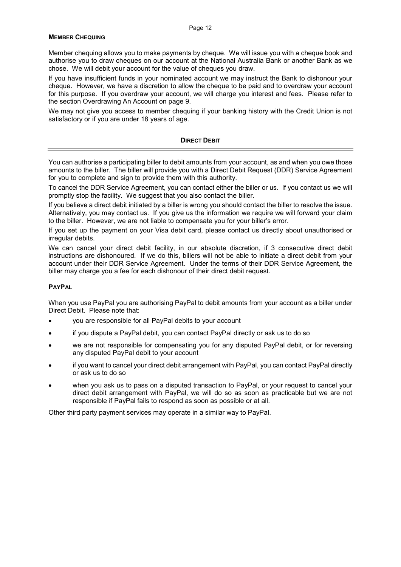#### **MEMBER CHEQUING**

Member chequing allows you to make payments by cheque. We will issue you with a cheque book and authorise you to draw cheques on our account at the National Australia Bank or another Bank as we chose. We will debit your account for the value of cheques you draw.

If you have insufficient funds in your nominated account we may instruct the Bank to dishonour your cheque. However, we have a discretion to allow the cheque to be paid and to overdraw your account for this purpose. If you overdraw your account, we will charge you interest and fees. Please refer to the section Overdrawing An Account on page 9.

We may not give you access to member chequing if your banking history with the Credit Union is not satisfactory or if you are under 18 years of age.

#### **DIRECT DEBIT**

You can authorise a participating biller to debit amounts from your account, as and when you owe those amounts to the biller. The biller will provide you with a Direct Debit Request (DDR) Service Agreement for you to complete and sign to provide them with this authority.

To cancel the DDR Service Agreement, you can contact either the biller or us. If you contact us we will promptly stop the facility. We suggest that you also contact the biller.

If you believe a direct debit initiated by a biller is wrong you should contact the biller to resolve the issue. Alternatively, you may contact us. If you give us the information we require we will forward your claim to the biller. However, we are not liable to compensate you for your biller's error.

If you set up the payment on your Visa debit card, please contact us directly about unauthorised or irregular debits.

We can cancel your direct debit facility, in our absolute discretion, if 3 consecutive direct debit instructions are dishonoured. If we do this, billers will not be able to initiate a direct debit from your account under their DDR Service Agreement. Under the terms of their DDR Service Agreement, the biller may charge you a fee for each dishonour of their direct debit request.

## **PAYPAL**

When you use PayPal you are authorising PayPal to debit amounts from your account as a biller under Direct Debit. Please note that:

- you are responsible for all PayPal debits to your account
- if you dispute a PayPal debit, you can contact PayPal directly or ask us to do so
- we are not responsible for compensating you for any disputed PayPal debit, or for reversing any disputed PayPal debit to your account
- if you want to cancel your direct debit arrangement with PayPal, you can contact PayPal directly or ask us to do so
- when you ask us to pass on a disputed transaction to PayPal, or your request to cancel your direct debit arrangement with PayPal, we will do so as soon as practicable but we are not responsible if PayPal fails to respond as soon as possible or at all.

Other third party payment services may operate in a similar way to PayPal.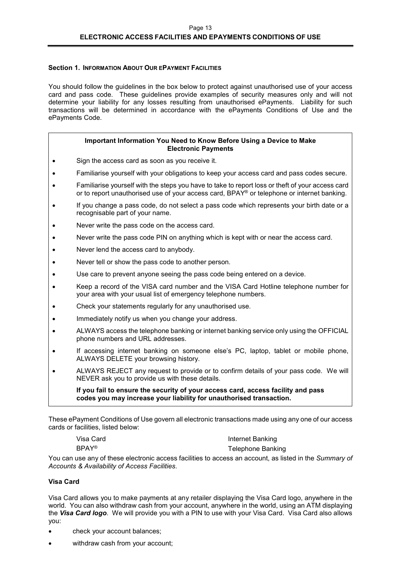## **Section 1. INFORMATION ABOUT OUR EPAYMENT FACILITIES**

You should follow the guidelines in the box below to protect against unauthorised use of your access card and pass code. These guidelines provide examples of security measures only and will not determine your liability for any losses resulting from unauthorised ePayments. Liability for such transactions will be determined in accordance with the ePayments Conditions of Use and the ePayments Code.

#### **Important Information You Need to Know Before Using a Device to Make Electronic Payments**

- Sign the access card as soon as you receive it.
- Familiarise yourself with your obligations to keep your access card and pass codes secure.
- Familiarise yourself with the steps you have to take to report loss or theft of your access card or to report unauthorised use of your access card, BPAY® or telephone or internet banking.
- If you change a pass code, do not select a pass code which represents your birth date or a recognisable part of your name.
- Never write the pass code on the access card.
- Never write the pass code PIN on anything which is kept with or near the access card.
- Never lend the access card to anybody.
- Never tell or show the pass code to another person.
- Use care to prevent anyone seeing the pass code being entered on a device.
- Keep a record of the VISA card number and the VISA Card Hotline telephone number for your area with your usual list of emergency telephone numbers.
- Check your statements regularly for any unauthorised use.
- Immediately notify us when you change your address.
- ALWAYS access the telephone banking or internet banking service only using the OFFICIAL phone numbers and URL addresses.
- If accessing internet banking on someone else's PC, laptop, tablet or mobile phone, ALWAYS DELETE your browsing history.
- ALWAYS REJECT any request to provide or to confirm details of your pass code. We will NEVER ask you to provide us with these details.

**If you fail to ensure the security of your access card, access facility and pass codes you may increase your liability for unauthorised transaction.** 

These ePayment Conditions of Use govern all electronic transactions made using any one of our access cards or facilities, listed below:

| Visa Card    | Internet Banking         |
|--------------|--------------------------|
| <b>RPAY®</b> | <b>Telephone Banking</b> |

You can use any of these electronic access facilities to access an account, as listed in the *Summary of Accounts & Availability of Access Facilities*.

#### **Visa Card**

Visa Card allows you to make payments at any retailer displaying the Visa Card logo, anywhere in the world. You can also withdraw cash from your account, anywhere in the world, using an ATM displaying the *Visa Card logo*. We will provide you with a PIN to use with your Visa Card. Visa Card also allows you:

- check your account balances;
- withdraw cash from your account;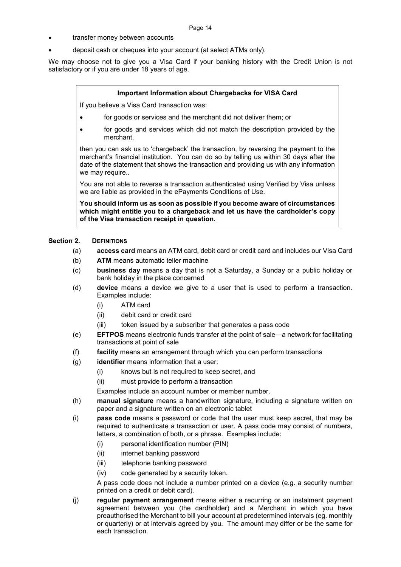- transfer money between accounts
- deposit cash or cheques into your account (at select ATMs only).

We may choose not to give you a Visa Card if your banking history with the Credit Union is not satisfactory or if you are under 18 years of age.

#### **Important Information about Chargebacks for VISA Card**

If you believe a Visa Card transaction was:

- for goods or services and the merchant did not deliver them; or
- for goods and services which did not match the description provided by the merchant,

then you can ask us to 'chargeback' the transaction, by reversing the payment to the merchant's financial institution. You can do so by telling us within 30 days after the date of the statement that shows the transaction and providing us with any information we may require..

You are not able to reverse a transaction authenticated using Verified by Visa unless we are liable as provided in the ePayments Conditions of Use.

**You should inform us as soon as possible if you become aware of circumstances which might entitle you to a chargeback and let us have the cardholder's copy of the Visa transaction receipt in question.** 

#### Section 2. **DEFINITIONS**

- (a) **access card** means an ATM card, debit card or credit card and includes our Visa Card
- (b) **ATM** means automatic teller machine
- (c) **business day** means a day that is not a Saturday, a Sunday or a public holiday or bank holiday in the place concerned
- (d) **device** means a device we give to a user that is used to perform a transaction. Examples include:
	- (i) ATM card
	- (ii) debit card or credit card
	- (iii) token issued by a subscriber that generates a pass code
- (e) **EFTPOS** means electronic funds transfer at the point of sale—a network for facilitating transactions at point of sale
- (f) **facility** means an arrangement through which you can perform transactions
- (g) **identifier** means information that a user:
	- (i) knows but is not required to keep secret, and
	- (ii) must provide to perform a transaction
	- Examples include an account number or member number.
- (h) **manual signature** means a handwritten signature, including a signature written on paper and a signature written on an electronic tablet
- (i) **pass code** means a password or code that the user must keep secret, that may be required to authenticate a transaction or user. A pass code may consist of numbers, letters, a combination of both, or a phrase. Examples include:
	- (i) personal identification number (PIN)
	- (ii) internet banking password
	- (iii) telephone banking password
	- (iv) code generated by a security token.

A pass code does not include a number printed on a device (e.g. a security number printed on a credit or debit card).

(j) **regular payment arrangement** means either a recurring or an instalment payment agreement between you (the cardholder) and a Merchant in which you have preauthorised the Merchant to bill your account at predetermined intervals (eg. monthly or quarterly) or at intervals agreed by you. The amount may differ or be the same for each transaction.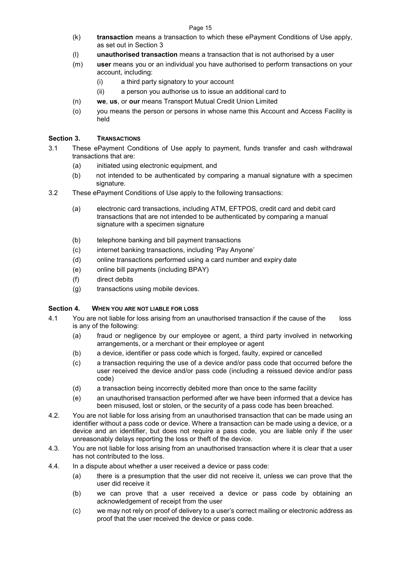- (k) **transaction** means a transaction to which these ePayment Conditions of Use apply, as set out in Section 3
- (l) **unauthorised transaction** means a transaction that is not authorised by a user
- (m) **user** means you or an individual you have authorised to perform transactions on your account, including:
	- (i) a third party signatory to your account
	- (ii) a person you authorise us to issue an additional card to
- (n) **we**, **us**, or **our** means Transport Mutual Credit Union Limited
- (o) you means the person or persons in whose name this Account and Access Facility is held

## **Section 3. TRANSACTIONS**

- 3.1 These ePayment Conditions of Use apply to payment, funds transfer and cash withdrawal transactions that are:
	- (a) initiated using electronic equipment, and
	- (b) not intended to be authenticated by comparing a manual signature with a specimen signature.
- 3.2 These ePayment Conditions of Use apply to the following transactions:
	- (a) electronic card transactions, including ATM, EFTPOS, credit card and debit card transactions that are not intended to be authenticated by comparing a manual signature with a specimen signature
	- (b) telephone banking and bill payment transactions
	- (c) internet banking transactions, including 'Pay Anyone'
	- (d) online transactions performed using a card number and expiry date
	- (e) online bill payments (including BPAY)
	- (f) direct debits
	- (g) transactions using mobile devices.

## **Section 4. WHEN YOU ARE NOT LIABLE FOR LOSS**

- 4.1 You are not liable for loss arising from an unauthorised transaction if the cause of the loss is any of the following:
	- (a) fraud or negligence by our employee or agent, a third party involved in networking arrangements, or a merchant or their employee or agent
	- (b) a device, identifier or pass code which is forged, faulty, expired or cancelled
	- (c) a transaction requiring the use of a device and/or pass code that occurred before the user received the device and/or pass code (including a reissued device and/or pass code)
	- (d) a transaction being incorrectly debited more than once to the same facility
	- (e) an unauthorised transaction performed after we have been informed that a device has been misused, lost or stolen, or the security of a pass code has been breached.
- 4.2. You are not liable for loss arising from an unauthorised transaction that can be made using an identifier without a pass code or device. Where a transaction can be made using a device, or a device and an identifier, but does not require a pass code, you are liable only if the user unreasonably delays reporting the loss or theft of the device.
- 4.3. You are not liable for loss arising from an unauthorised transaction where it is clear that a user has not contributed to the loss.
- 4.4. In a dispute about whether a user received a device or pass code:
	- (a) there is a presumption that the user did not receive it, unless we can prove that the user did receive it
	- (b) we can prove that a user received a device or pass code by obtaining an acknowledgement of receipt from the user
	- (c) we may not rely on proof of delivery to a user's correct mailing or electronic address as proof that the user received the device or pass code.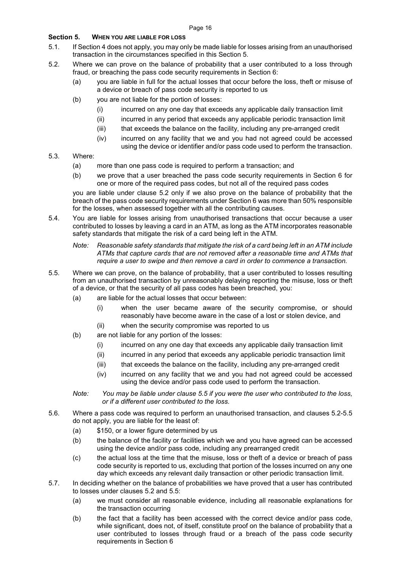## **Section 5. WHEN YOU ARE LIABLE FOR LOSS**

- 5.1. If Section 4 does not apply, you may only be made liable for losses arising from an unauthorised transaction in the circumstances specified in this Section 5.
- 5.2. Where we can prove on the balance of probability that a user contributed to a loss through fraud, or breaching the pass code security requirements in Section 6:
	- (a) you are liable in full for the actual losses that occur before the loss, theft or misuse of a device or breach of pass code security is reported to us
	- (b) you are not liable for the portion of losses:
		- (i) incurred on any one day that exceeds any applicable daily transaction limit
		- (ii) incurred in any period that exceeds any applicable periodic transaction limit
		- (iii) that exceeds the balance on the facility, including any pre-arranged credit
		- (iv) incurred on any facility that we and you had not agreed could be accessed using the device or identifier and/or pass code used to perform the transaction.
- 5.3. Where:
	- (a) more than one pass code is required to perform a transaction; and
	- (b) we prove that a user breached the pass code security requirements in Section 6 for one or more of the required pass codes, but not all of the required pass codes

you are liable under clause 5.2 only if we also prove on the balance of probability that the breach of the pass code security requirements under Section 6 was more than 50% responsible for the losses, when assessed together with all the contributing causes.

5.4. You are liable for losses arising from unauthorised transactions that occur because a user contributed to losses by leaving a card in an ATM, as long as the ATM incorporates reasonable safety standards that mitigate the risk of a card being left in the ATM.

*Note: Reasonable safety standards that mitigate the risk of a card being left in an ATM include ATMs that capture cards that are not removed after a reasonable time and ATMs that require a user to swipe and then remove a card in order to commence a transaction.* 

- 5.5. Where we can prove, on the balance of probability, that a user contributed to losses resulting from an unauthorised transaction by unreasonably delaying reporting the misuse, loss or theft of a device, or that the security of all pass codes has been breached, you:
	- (a) are liable for the actual losses that occur between:
		- (i) when the user became aware of the security compromise, or should reasonably have become aware in the case of a lost or stolen device, and
		- (ii) when the security compromise was reported to us
	- (b) are not liable for any portion of the losses:
		- (i) incurred on any one day that exceeds any applicable daily transaction limit
		- (ii) incurred in any period that exceeds any applicable periodic transaction limit
		- (iii) that exceeds the balance on the facility, including any pre-arranged credit
		- (iv) incurred on any facility that we and you had not agreed could be accessed using the device and/or pass code used to perform the transaction.

*Note: You may be liable under clause 5.5 if you were the user who contributed to the loss, or if a different user contributed to the loss.* 

- 5.6. Where a pass code was required to perform an unauthorised transaction, and clauses 5.2-5.5 do not apply, you are liable for the least of:
	- (a) \$150, or a lower figure determined by us
	- (b) the balance of the facility or facilities which we and you have agreed can be accessed using the device and/or pass code, including any prearranged credit
	- (c) the actual loss at the time that the misuse, loss or theft of a device or breach of pass code security is reported to us, excluding that portion of the losses incurred on any one day which exceeds any relevant daily transaction or other periodic transaction limit.
- 5.7. In deciding whether on the balance of probabilities we have proved that a user has contributed to losses under clauses 5.2 and 5.5:
	- (a) we must consider all reasonable evidence, including all reasonable explanations for the transaction occurring
	- (b) the fact that a facility has been accessed with the correct device and/or pass code, while significant, does not, of itself, constitute proof on the balance of probability that a user contributed to losses through fraud or a breach of the pass code security requirements in Section 6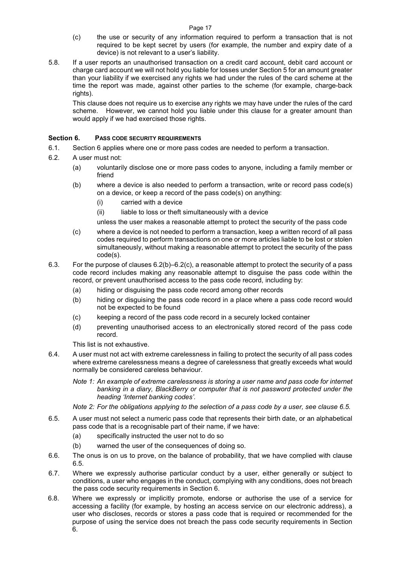- Page 17
- (c) the use or security of any information required to perform a transaction that is not required to be kept secret by users (for example, the number and expiry date of a device) is not relevant to a user's liability.
- 5.8. If a user reports an unauthorised transaction on a credit card account, debit card account or charge card account we will not hold you liable for losses under Section 5 for an amount greater than your liability if we exercised any rights we had under the rules of the card scheme at the time the report was made, against other parties to the scheme (for example, charge-back rights).

This clause does not require us to exercise any rights we may have under the rules of the card scheme. However, we cannot hold you liable under this clause for a greater amount than would apply if we had exercised those rights.

## **Section 6. PASS CODE SECURITY REQUIREMENTS**

- 6.1. Section 6 applies where one or more pass codes are needed to perform a transaction.
- 6.2. A user must not:
	- (a) voluntarily disclose one or more pass codes to anyone, including a family member or friend
	- (b) where a device is also needed to perform a transaction, write or record pass code(s) on a device, or keep a record of the pass code(s) on anything:
		- (i) carried with a device
		- (ii) liable to loss or theft simultaneously with a device
		- unless the user makes a reasonable attempt to protect the security of the pass code
	- (c) where a device is not needed to perform a transaction, keep a written record of all pass codes required to perform transactions on one or more articles liable to be lost or stolen simultaneously, without making a reasonable attempt to protect the security of the pass code(s).
- 6.3. For the purpose of clauses 6.2(b)–6.2(c), a reasonable attempt to protect the security of a pass code record includes making any reasonable attempt to disguise the pass code within the record, or prevent unauthorised access to the pass code record, including by:
	- (a) hiding or disguising the pass code record among other records
	- (b) hiding or disguising the pass code record in a place where a pass code record would not be expected to be found
	- (c) keeping a record of the pass code record in a securely locked container
	- (d) preventing unauthorised access to an electronically stored record of the pass code record.

This list is not exhaustive.

6.4. A user must not act with extreme carelessness in failing to protect the security of all pass codes where extreme carelessness means a degree of carelessness that greatly exceeds what would normally be considered careless behaviour.

*Note 1: An example of extreme carelessness is storing a user name and pass code for internet banking in a diary, BlackBerry or computer that is not password protected under the heading 'Internet banking codes'.* 

*Note 2: For the obligations applying to the selection of a pass code by a user, see clause 6.5.* 

- 6.5. A user must not select a numeric pass code that represents their birth date, or an alphabetical pass code that is a recognisable part of their name, if we have:
	- (a) specifically instructed the user not to do so
	- (b) warned the user of the consequences of doing so.
- 6.6. The onus is on us to prove, on the balance of probability, that we have complied with clause 6.5.
- 6.7. Where we expressly authorise particular conduct by a user, either generally or subject to conditions, a user who engages in the conduct, complying with any conditions, does not breach the pass code security requirements in Section 6.
- 6.8. Where we expressly or implicitly promote, endorse or authorise the use of a service for accessing a facility (for example, by hosting an access service on our electronic address), a user who discloses, records or stores a pass code that is required or recommended for the purpose of using the service does not breach the pass code security requirements in Section 6.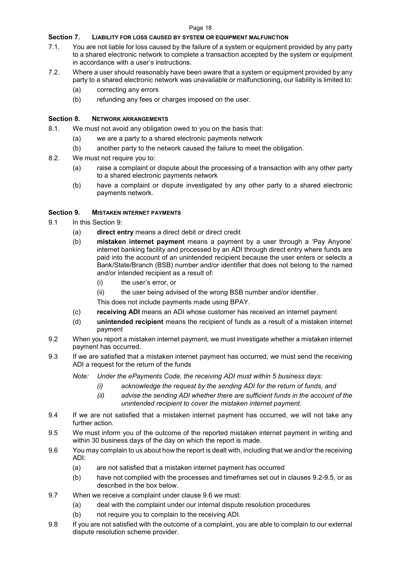#### Page 18

## **Section 7. LIABILITY FOR LOSS CAUSED BY SYSTEM OR EQUIPMENT MALFUNCTION**

- 7.1. You are not liable for loss caused by the failure of a system or equipment provided by any party to a shared electronic network to complete a transaction accepted by the system or equipment in accordance with a user's instructions.
- 7.2. Where a user should reasonably have been aware that a system or equipment provided by any party to a shared electronic network was unavailable or malfunctioning, our liability is limited to:
	- (a) correcting any errors
	- (b) refunding any fees or charges imposed on the user.

## **Section 8. NETWORK ARRANGEMENTS**

- 8.1. We must not avoid any obligation owed to you on the basis that:
	- (a) we are a party to a shared electronic payments network
	- (b) another party to the network caused the failure to meet the obligation.
- 8.2. We must not require you to:
	- (a) raise a complaint or dispute about the processing of a transaction with any other party to a shared electronic payments network
	- (b) have a complaint or dispute investigated by any other party to a shared electronic payments network.

## **Section 9. MISTAKEN INTERNET PAYMENTS**

- 9.1 In this Section 9:
	- (a) **direct entry** means a direct debit or direct credit
	- (b) **mistaken internet payment** means a payment by a user through a 'Pay Anyone' internet banking facility and processed by an ADI through direct entry where funds are paid into the account of an unintended recipient because the user enters or selects a Bank/State/Branch (BSB) number and/or identifier that does not belong to the named and/or intended recipient as a result of:
		- (i) the user's error, or
		- (ii) the user being advised of the wrong BSB number and/or identifier.

This does not include payments made using BPAY.

- (c) **receiving ADI** means an ADI whose customer has received an internet payment
- (d) **unintended recipient** means the recipient of funds as a result of a mistaken internet payment
- 9.2 When you report a mistaken internet payment, we must investigate whether a mistaken internet payment has occurred.
- 9.3 If we are satisfied that a mistaken internet payment has occurred, we must send the receiving ADI a request for the return of the funds

*Note: Under the ePayments Code, the receiving ADI must within 5 business days:* 

- *(i) acknowledge the request by the sending ADI for the return of funds, and*
- *(ii) advise the sending ADI whether there are sufficient funds in the account of the unintended recipient to cover the mistaken internet payment.*
- 9.4 If we are not satisfied that a mistaken internet payment has occurred, we will not take any further action.
- 9.5 We must inform you of the outcome of the reported mistaken internet payment in writing and within 30 business days of the day on which the report is made.
- 9.6 You may complain to us about how the report is dealt with, including that we and/or the receiving ADI:
	- (a) are not satisfied that a mistaken internet payment has occurred
	- (b) have not complied with the processes and timeframes set out in clauses 9.2-9.5, or as described in the box below.
- 9.7 When we receive a complaint under clause 9.6 we must:
	- (a) deal with the complaint under our internal dispute resolution procedures
	- (b) not require you to complain to the receiving ADI.
- 9.8 If you are not satisfied with the outcome of a complaint, you are able to complain to our external dispute resolution scheme provider.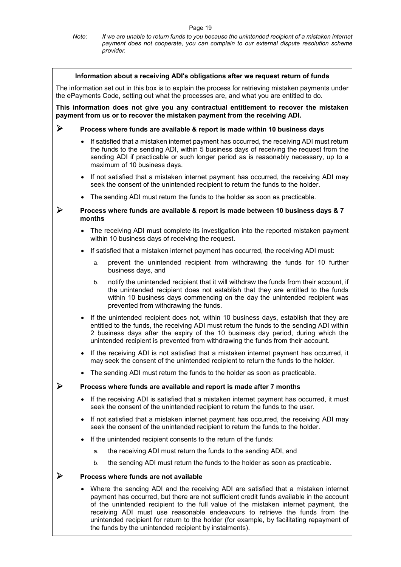#### *Note: If we are unable to return funds to you because the unintended recipient of a mistaken internet payment does not cooperate, you can complain to our external dispute resolution scheme provider.*

|                                                                                                                                                                                                  |                                                                            |    | Information about a receiving ADI's obligations after we request return of funds                                                                                                                                                                                                                                                                                                                                                                                                                             |  |  |  |
|--------------------------------------------------------------------------------------------------------------------------------------------------------------------------------------------------|----------------------------------------------------------------------------|----|--------------------------------------------------------------------------------------------------------------------------------------------------------------------------------------------------------------------------------------------------------------------------------------------------------------------------------------------------------------------------------------------------------------------------------------------------------------------------------------------------------------|--|--|--|
| The information set out in this box is to explain the process for retrieving mistaken payments under<br>the ePayments Code, setting out what the processes are, and what you are entitled to do. |                                                                            |    |                                                                                                                                                                                                                                                                                                                                                                                                                                                                                                              |  |  |  |
|                                                                                                                                                                                                  |                                                                            |    | This information does not give you any contractual entitlement to recover the mistaken<br>payment from us or to recover the mistaken payment from the receiving ADI.                                                                                                                                                                                                                                                                                                                                         |  |  |  |
| ➤                                                                                                                                                                                                | Process where funds are available & report is made within 10 business days |    |                                                                                                                                                                                                                                                                                                                                                                                                                                                                                                              |  |  |  |
|                                                                                                                                                                                                  |                                                                            |    | • If satisfied that a mistaken internet payment has occurred, the receiving ADI must return<br>the funds to the sending ADI, within 5 business days of receiving the request from the<br>sending ADI if practicable or such longer period as is reasonably necessary, up to a<br>maximum of 10 business days.                                                                                                                                                                                                |  |  |  |
|                                                                                                                                                                                                  |                                                                            |    | • If not satisfied that a mistaken internet payment has occurred, the receiving ADI may<br>seek the consent of the unintended recipient to return the funds to the holder.                                                                                                                                                                                                                                                                                                                                   |  |  |  |
|                                                                                                                                                                                                  | $\bullet$                                                                  |    | The sending ADI must return the funds to the holder as soon as practicable.                                                                                                                                                                                                                                                                                                                                                                                                                                  |  |  |  |
|                                                                                                                                                                                                  | months                                                                     |    | Process where funds are available & report is made between 10 business days & 7                                                                                                                                                                                                                                                                                                                                                                                                                              |  |  |  |
|                                                                                                                                                                                                  |                                                                            |    | The receiving ADI must complete its investigation into the reported mistaken payment<br>within 10 business days of receiving the request.                                                                                                                                                                                                                                                                                                                                                                    |  |  |  |
|                                                                                                                                                                                                  |                                                                            |    | If satisfied that a mistaken internet payment has occurred, the receiving ADI must:                                                                                                                                                                                                                                                                                                                                                                                                                          |  |  |  |
|                                                                                                                                                                                                  |                                                                            | a. | prevent the unintended recipient from withdrawing the funds for 10 further<br>business days, and                                                                                                                                                                                                                                                                                                                                                                                                             |  |  |  |
|                                                                                                                                                                                                  |                                                                            | b. | notify the unintended recipient that it will withdraw the funds from their account, if<br>the unintended recipient does not establish that they are entitled to the funds<br>within 10 business days commencing on the day the unintended recipient was<br>prevented from withdrawing the funds.                                                                                                                                                                                                             |  |  |  |
|                                                                                                                                                                                                  |                                                                            |    | • If the unintended recipient does not, within 10 business days, establish that they are<br>entitled to the funds, the receiving ADI must return the funds to the sending ADI within<br>2 business days after the expiry of the 10 business day period, during which the<br>unintended recipient is prevented from withdrawing the funds from their account.                                                                                                                                                 |  |  |  |
|                                                                                                                                                                                                  | $\bullet$                                                                  |    | If the receiving ADI is not satisfied that a mistaken internet payment has occurred, it<br>may seek the consent of the unintended recipient to return the funds to the holder.                                                                                                                                                                                                                                                                                                                               |  |  |  |
|                                                                                                                                                                                                  |                                                                            |    | • The sending ADI must return the funds to the holder as soon as practicable.                                                                                                                                                                                                                                                                                                                                                                                                                                |  |  |  |
|                                                                                                                                                                                                  |                                                                            |    | Process where funds are available and report is made after 7 months                                                                                                                                                                                                                                                                                                                                                                                                                                          |  |  |  |
|                                                                                                                                                                                                  |                                                                            |    | If the receiving ADI is satisfied that a mistaken internet payment has occurred, it must<br>seek the consent of the unintended recipient to return the funds to the user.                                                                                                                                                                                                                                                                                                                                    |  |  |  |
|                                                                                                                                                                                                  |                                                                            |    | If not satisfied that a mistaken internet payment has occurred, the receiving ADI may<br>seek the consent of the unintended recipient to return the funds to the holder.                                                                                                                                                                                                                                                                                                                                     |  |  |  |
|                                                                                                                                                                                                  | $\bullet$                                                                  |    | If the unintended recipient consents to the return of the funds:                                                                                                                                                                                                                                                                                                                                                                                                                                             |  |  |  |
|                                                                                                                                                                                                  |                                                                            | a. | the receiving ADI must return the funds to the sending ADI, and                                                                                                                                                                                                                                                                                                                                                                                                                                              |  |  |  |
|                                                                                                                                                                                                  |                                                                            | b. | the sending ADI must return the funds to the holder as soon as practicable.                                                                                                                                                                                                                                                                                                                                                                                                                                  |  |  |  |
| ➤                                                                                                                                                                                                |                                                                            |    | Process where funds are not available                                                                                                                                                                                                                                                                                                                                                                                                                                                                        |  |  |  |
|                                                                                                                                                                                                  |                                                                            |    | • Where the sending ADI and the receiving ADI are satisfied that a mistaken internet<br>payment has occurred, but there are not sufficient credit funds available in the account<br>of the unintended recipient to the full value of the mistaken internet payment, the<br>receiving ADI must use reasonable endeavours to retrieve the funds from the<br>unintended recipient for return to the holder (for example, by facilitating repayment of<br>the funds by the unintended recipient by instalments). |  |  |  |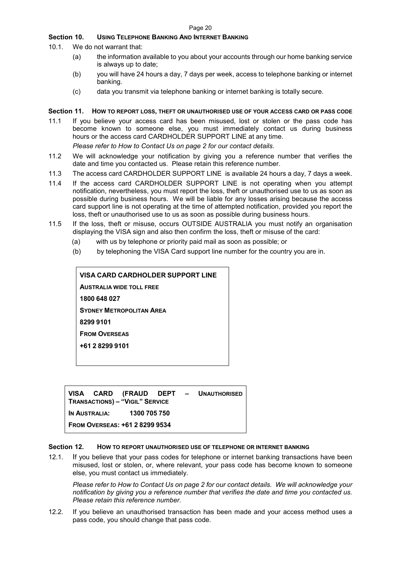## **Section 10. USING TELEPHONE BANKING AND INTERNET BANKING**

- 10.1. We do not warrant that:
	- (a) the information available to you about your accounts through our home banking service is always up to date;
	- (b) you will have 24 hours a day, 7 days per week, access to telephone banking or internet banking.
	- (c) data you transmit via telephone banking or internet banking is totally secure.

#### **Section 11. HOW TO REPORT LOSS, THEFT OR UNAUTHORISED USE OF YOUR ACCESS CARD OR PASS CODE**

11.1 If you believe your access card has been misused, lost or stolen or the pass code has become known to someone else, you must immediately contact us during business hours or the access card CARDHOLDER SUPPORT LINE at any time.

*Please refer to How to Contact Us on page 2 for our contact details.* 

- 11.2 We will acknowledge your notification by giving you a reference number that verifies the date and time you contacted us. Please retain this reference number.
- 11.3 The access card CARDHOLDER SUPPORT LINE is available 24 hours a day, 7 days a week.
- 11.4 If the access card CARDHOLDER SUPPORT LINE is not operating when you attempt notification, nevertheless, you must report the loss, theft or unauthorised use to us as soon as possible during business hours. We will be liable for any losses arising because the access card support line is not operating at the time of attempted notification, provided you report the loss, theft or unauthorised use to us as soon as possible during business hours.
- 11.5 If the loss, theft or misuse, occurs OUTSIDE AUSTRALIA you must notify an organisation displaying the VISA sign and also then confirm the loss, theft or misuse of the card:
	- (a) with us by telephone or priority paid mail as soon as possible; or
	- (b) by telephoning the VISA Card support line number for the country you are in.

| VISA CARD CARDHOLDER SUPPORT LINE |  |  |  |  |  |
|-----------------------------------|--|--|--|--|--|
| <b>AUSTRALIA WIDE TOLL FREE</b>   |  |  |  |  |  |
| 1800 648 027                      |  |  |  |  |  |
| <b>SYDNEY METROPOLITAN AREA</b>   |  |  |  |  |  |
| 8299 9101                         |  |  |  |  |  |
| <b>FROM OVERSEAS</b>              |  |  |  |  |  |
| +61 2 8299 9101                   |  |  |  |  |  |
|                                   |  |  |  |  |  |

**VISA CARD (FRAUD DEPT – UNAUTHORISED TRANSACTIONS) – "VIGIL" SERVICE IN AUSTRALIA: 1300 705 750 FROM OVERSEAS: +61 2 8299 9534** 

## **Section 12. HOW TO REPORT UNAUTHORISED USE OF TELEPHONE OR INTERNET BANKING**

12.1. If you believe that your pass codes for telephone or internet banking transactions have been misused, lost or stolen, or, where relevant, your pass code has become known to someone else, you must contact us immediately.

*Please refer to How to Contact Us on page 2 for our contact details. We will acknowledge your notification by giving you a reference number that verifies the date and time you contacted us. Please retain this reference number.* 

12.2. If you believe an unauthorised transaction has been made and your access method uses a pass code, you should change that pass code.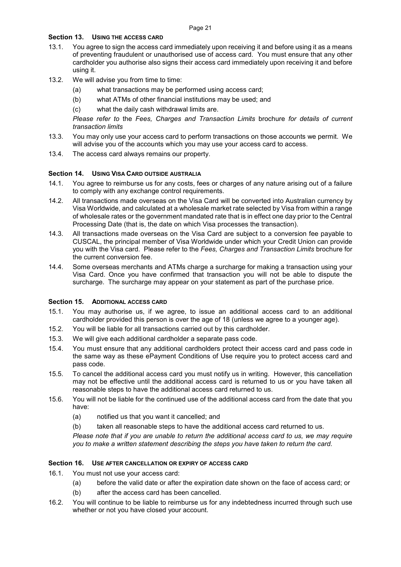## **Section 13. USING THE ACCESS CARD**

- 13.1. You agree to sign the access card immediately upon receiving it and before using it as a means of preventing fraudulent or unauthorised use of access card. You must ensure that any other cardholder you authorise also signs their access card immediately upon receiving it and before using it.
- 13.2. We will advise you from time to time:
	- (a) what transactions may be performed using access card;
	- (b) what ATMs of other financial institutions may be used; and
	- (c) what the daily cash withdrawal limits are.

*Please refer to* the *Fees, Charges and Transaction Limits* brochure *for details of current transaction limits* 

- 13.3. You may only use your access card to perform transactions on those accounts we permit. We will advise you of the accounts which you may use your access card to access.
- 13.4. The access card always remains our property.

## **Section 14. USING VISA CARD OUTSIDE AUSTRALIA**

- 14.1. You agree to reimburse us for any costs, fees or charges of any nature arising out of a failure to comply with any exchange control requirements.
- 14.2. All transactions made overseas on the Visa Card will be converted into Australian currency by Visa Worldwide, and calculated at a wholesale market rate selected by Visa from within a range of wholesale rates or the government mandated rate that is in effect one day prior to the Central Processing Date (that is, the date on which Visa processes the transaction).
- 14.3. All transactions made overseas on the Visa Card are subject to a conversion fee payable to CUSCAL, the principal member of Visa Worldwide under which your Credit Union can provide you with the Visa card. Please refer to the *Fees, Charges and Transaction Limits* brochure for the current conversion fee.
- 14.4. Some overseas merchants and ATMs charge a surcharge for making a transaction using your Visa Card. Once you have confirmed that transaction you will not be able to dispute the surcharge. The surcharge may appear on your statement as part of the purchase price.

## Section 15. ADDITIONAL ACCESS CARD

- 15.1. You may authorise us, if we agree, to issue an additional access card to an additional cardholder provided this person is over the age of 18 (unless we agree to a younger age).
- 15.2. You will be liable for all transactions carried out by this cardholder.
- 15.3. We will give each additional cardholder a separate pass code.
- 15.4. You must ensure that any additional cardholders protect their access card and pass code in the same way as these ePayment Conditions of Use require you to protect access card and pass code.
- 15.5. To cancel the additional access card you must notify us in writing. However, this cancellation may not be effective until the additional access card is returned to us or you have taken all reasonable steps to have the additional access card returned to us.
- 15.6. You will not be liable for the continued use of the additional access card from the date that you have:
	- (a) notified us that you want it cancelled; and
	- (b) taken all reasonable steps to have the additional access card returned to us.

*Please note that if you are unable to return the additional access card to us, we may require you to make a written statement describing the steps you have taken to return the card.* 

## **Section 16. USE AFTER CANCELLATION OR EXPIRY OF ACCESS CARD**

- 16.1. You must not use your access card:
	- (a) before the valid date or after the expiration date shown on the face of access card; or
	- (b) after the access card has been cancelled.
- 16.2. You will continue to be liable to reimburse us for any indebtedness incurred through such use whether or not you have closed your account.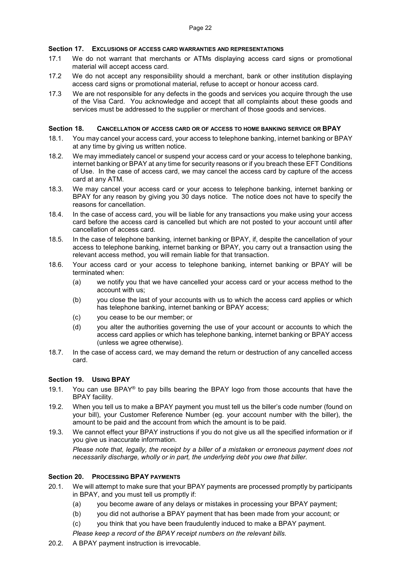## **Section 17. EXCLUSIONS OF ACCESS CARD WARRANTIES AND REPRESENTATIONS**

- 17.1 We do not warrant that merchants or ATMs displaying access card signs or promotional material will accept access card.
- 17.2 We do not accept any responsibility should a merchant, bank or other institution displaying access card signs or promotional material, refuse to accept or honour access card.
- 17.3 We are not responsible for any defects in the goods and services you acquire through the use of the Visa Card. You acknowledge and accept that all complaints about these goods and services must be addressed to the supplier or merchant of those goods and services.

#### **Section 18. CANCELLATION OF ACCESS CARD OR OF ACCESS TO HOME BANKING SERVICE OR BPAY**

- 18.1. You may cancel your access card, your access to telephone banking, internet banking or BPAY at any time by giving us written notice.
- 18.2. We may immediately cancel or suspend your access card or your access to telephone banking, internet banking or BPAY at any time for security reasons or if you breach these EFT Conditions of Use. In the case of access card, we may cancel the access card by capture of the access card at any ATM.
- 18.3. We may cancel your access card or your access to telephone banking, internet banking or BPAY for any reason by giving you 30 days notice. The notice does not have to specify the reasons for cancellation.
- 18.4. In the case of access card, you will be liable for any transactions you make using your access card before the access card is cancelled but which are not posted to your account until after cancellation of access card.
- 18.5. In the case of telephone banking, internet banking or BPAY, if, despite the cancellation of your access to telephone banking, internet banking or BPAY, you carry out a transaction using the relevant access method, you will remain liable for that transaction.
- 18.6. Your access card or your access to telephone banking, internet banking or BPAY will be terminated when:
	- (a) we notify you that we have cancelled your access card or your access method to the account with us;
	- (b) you close the last of your accounts with us to which the access card applies or which has telephone banking, internet banking or BPAY access;
	- (c) you cease to be our member; or
	- (d) you alter the authorities governing the use of your account or accounts to which the access card applies or which has telephone banking, internet banking or BPAY access (unless we agree otherwise).
- 18.7. In the case of access card, we may demand the return or destruction of any cancelled access card.

## **Section 19. USING BPAY**

- 19.1. You can use BPAY® to pay bills bearing the BPAY logo from those accounts that have the BPAY facility.
- 19.2. When you tell us to make a BPAY payment you must tell us the biller's code number (found on your bill), your Customer Reference Number (eg. your account number with the biller), the amount to be paid and the account from which the amount is to be paid.
- 19.3. We cannot effect your BPAY instructions if you do not give us all the specified information or if you give us inaccurate information.

*Please note that, legally, the receipt by a biller of a mistaken or erroneous payment does not necessarily discharge, wholly or in part, the underlying debt you owe that biller.*

## **Section 20. PROCESSING BPAY PAYMENTS**

- 20.1. We will attempt to make sure that your BPAY payments are processed promptly by participants in BPAY, and you must tell us promptly if:
	- (a) you become aware of any delays or mistakes in processing your BPAY payment;
	- (b) you did not authorise a BPAY payment that has been made from your account; or
	- (c) you think that you have been fraudulently induced to make a BPAY payment.
	- *Please keep a record of the BPAY receipt numbers on the relevant bills.*
- 20.2. A BPAY payment instruction is irrevocable.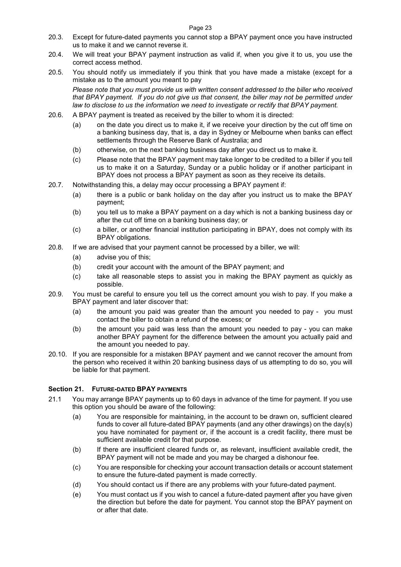- 20.3. Except for future-dated payments you cannot stop a BPAY payment once you have instructed us to make it and we cannot reverse it.
- 20.4. We will treat your BPAY payment instruction as valid if, when you give it to us, you use the correct access method.
- 20.5. You should notify us immediately if you think that you have made a mistake (except for a mistake as to the amount you meant to pay

*Please note that you must provide us with written consent addressed to the biller who received that BPAY payment. If you do not give us that consent, the biller may not be permitted under*  law to disclose to us the information we need to investigate or rectify that BPAY payment.

- 20.6. A BPAY payment is treated as received by the biller to whom it is directed:
	- (a) on the date you direct us to make it, if we receive your direction by the cut off time on a banking business day, that is, a day in Sydney or Melbourne when banks can effect settlements through the Reserve Bank of Australia; and
	- (b) otherwise, on the next banking business day after you direct us to make it.
	- (c) Please note that the BPAY payment may take longer to be credited to a biller if you tell us to make it on a Saturday, Sunday or a public holiday or if another participant in BPAY does not process a BPAY payment as soon as they receive its details.
- 20.7. Notwithstanding this, a delay may occur processing a BPAY payment if:
	- (a) there is a public or bank holiday on the day after you instruct us to make the BPAY payment;
	- (b) you tell us to make a BPAY payment on a day which is not a banking business day or after the cut off time on a banking business day; or
	- (c) a biller, or another financial institution participating in BPAY, does not comply with its BPAY obligations.
- 20.8. If we are advised that your payment cannot be processed by a biller, we will:
	- (a) advise you of this;
	- (b) credit your account with the amount of the BPAY payment; and
	- (c) take all reasonable steps to assist you in making the BPAY payment as quickly as possible.
- 20.9. You must be careful to ensure you tell us the correct amount you wish to pay. If you make a BPAY payment and later discover that:
	- (a) the amount you paid was greater than the amount you needed to pay you must contact the biller to obtain a refund of the excess; or
	- (b) the amount you paid was less than the amount you needed to pay you can make another BPAY payment for the difference between the amount you actually paid and the amount you needed to pay.
- 20.10. If you are responsible for a mistaken BPAY payment and we cannot recover the amount from the person who received it within 20 banking business days of us attempting to do so, you will be liable for that payment.

## **Section 21. FUTURE-DATED BPAY PAYMENTS**

- 21.1 You may arrange BPAY payments up to 60 days in advance of the time for payment. If you use this option you should be aware of the following:
	- (a) You are responsible for maintaining, in the account to be drawn on, sufficient cleared funds to cover all future-dated BPAY payments (and any other drawings) on the day(s) you have nominated for payment or, if the account is a credit facility, there must be sufficient available credit for that purpose.
	- (b) If there are insufficient cleared funds or, as relevant, insufficient available credit, the BPAY payment will not be made and you may be charged a dishonour fee.
	- (c) You are responsible for checking your account transaction details or account statement to ensure the future-dated payment is made correctly.
	- (d) You should contact us if there are any problems with your future-dated payment.
	- (e) You must contact us if you wish to cancel a future-dated payment after you have given the direction but before the date for payment. You cannot stop the BPAY payment on or after that date.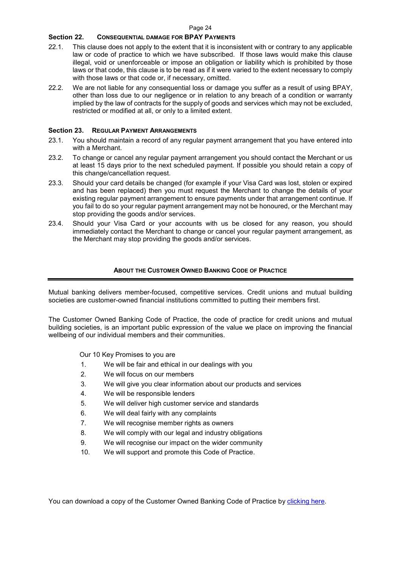## **Section 22. CONSEQUENTIAL DAMAGE FOR BPAY PAYMENTS**

- 22.1. This clause does not apply to the extent that it is inconsistent with or contrary to any applicable law or code of practice to which we have subscribed. If those laws would make this clause illegal, void or unenforceable or impose an obligation or liability which is prohibited by those laws or that code, this clause is to be read as if it were varied to the extent necessary to comply with those laws or that code or, if necessary, omitted.
- 22.2. We are not liable for any consequential loss or damage you suffer as a result of using BPAY, other than loss due to our negligence or in relation to any breach of a condition or warranty implied by the law of contracts for the supply of goods and services which may not be excluded, restricted or modified at all, or only to a limited extent.

#### **Section 23. REGULAR PAYMENT ARRANGEMENTS**

- 23.1. You should maintain a record of any regular payment arrangement that you have entered into with a Merchant.
- 23.2. To change or cancel any regular payment arrangement you should contact the Merchant or us at least 15 days prior to the next scheduled payment. If possible you should retain a copy of this change/cancellation request.
- 23.3. Should your card details be changed (for example if your Visa Card was lost, stolen or expired and has been replaced) then you must request the Merchant to change the details of your existing regular payment arrangement to ensure payments under that arrangement continue. If you fail to do so your regular payment arrangement may not be honoured, or the Merchant may stop providing the goods and/or services.
- 23.4. Should your Visa Card or your accounts with us be closed for any reason, you should immediately contact the Merchant to change or cancel your regular payment arrangement, as the Merchant may stop providing the goods and/or services.

#### **ABOUT THE CUSTOMER OWNED BANKING CODE OF PRACTICE**

Mutual banking delivers member-focused, competitive services. Credit unions and mutual building societies are customer-owned financial institutions committed to putting their members first.

The Customer Owned Banking Code of Practice, the code of practice for credit unions and mutual building societies, is an important public expression of the value we place on improving the financial wellbeing of our individual members and their communities.

Our 10 Key Promises to you are

- 1. We will be fair and ethical in our dealings with you
- 2. We will focus on our members
- 3. We will give you clear information about our products and services
- 4. We will be responsible lenders
- 5. We will deliver high customer service and standards
- 6. We will deal fairly with any complaints
- 7. We will recognise member rights as owners
- 8. We will comply with our legal and industry obligations
- 9. We will recognise our impact on the wider community
- 10. We will support and promote this Code of Practice.

You can download a copy of the Customer Owned Banking Code of Practice by clicking here.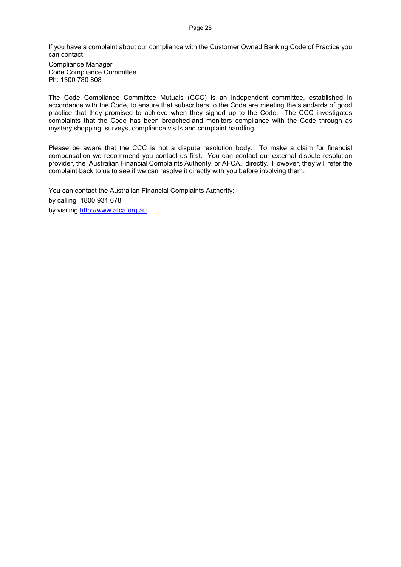Page 25

If you have a complaint about our compliance with the Customer Owned Banking Code of Practice you can contact

Compliance Manager Code Compliance Committee Ph: 1300 780 808

The Code Compliance Committee Mutuals (CCC) is an independent committee, established in accordance with the Code, to ensure that subscribers to the Code are meeting the standards of good practice that they promised to achieve when they signed up to the Code. The CCC investigates complaints that the Code has been breached and monitors compliance with the Code through as mystery shopping, surveys, compliance visits and complaint handling.

Please be aware that the CCC is not a dispute resolution body. To make a claim for financial compensation we recommend you contact us first. You can contact our external dispute resolution provider, the Australian Financial Complaints Authority, or AFCA., directly. However, they will refer the complaint back to us to see if we can resolve it directly with you before involving them.

You can contact the Australian Financial Complaints Authority: by calling 1800 931 678 by visiting http://www.afca.org.au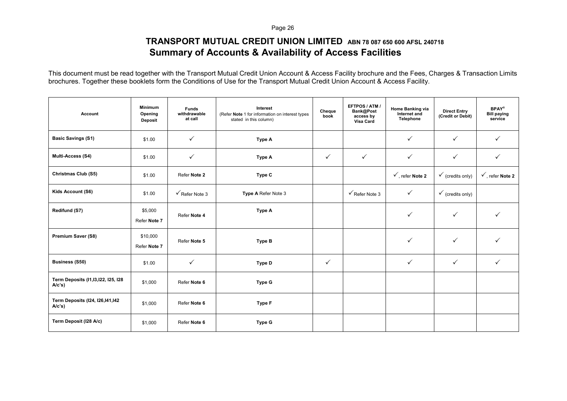Page 26

## **TRANSPORT MUTUAL CREDIT UNION LIMITED ABN 78 087 650 600 AFSL 240718 Summary of Accounts & Availability of Access Facilities**

This document must be read together with the Transport Mutual Credit Union Account & Access Facility brochure and the Fees, Charges & Transaction Limits brochures. Together these booklets form the Conditions of Use for the Transport Mutual Credit Union Account & Access Facility.

| Account                                           | <b>Minimum</b><br>Opening<br><b>Deposit</b> | <b>Funds</b><br>withdrawable<br>at call | Interest<br>(Refer Note 1 for information on interest types<br>stated in this column) | Cheque<br>book | EFTPOS / ATM<br>Bank@Post<br>access by<br>Visa Card | Home Banking via<br>Internet and<br>Telephone | <b>Direct Entry</b><br>(Credit or Debit) | <b>BPAY®</b><br><b>Bill paying</b><br>service |
|---------------------------------------------------|---------------------------------------------|-----------------------------------------|---------------------------------------------------------------------------------------|----------------|-----------------------------------------------------|-----------------------------------------------|------------------------------------------|-----------------------------------------------|
| <b>Basic Savings (S1)</b>                         | \$1.00                                      | $\checkmark$                            | Type A                                                                                |                |                                                     | $\checkmark$                                  | $\checkmark$                             | $\checkmark$                                  |
| <b>Multi-Access (S4)</b>                          | \$1.00                                      | $\checkmark$                            | Type A                                                                                | $\checkmark$   | $\checkmark$                                        | $\checkmark$                                  | $\checkmark$                             | $\checkmark$                                  |
| Christmas Club (S5)                               | \$1.00                                      | Refer Note 2                            | Type C                                                                                |                |                                                     | $\checkmark$ , refer Note 2                   | $\checkmark$ (credits only)              | $\checkmark$ , refer Note 2                   |
| Kids Account (S6)                                 | \$1.00                                      | $\sqrt{\mathsf{Refer}}$ Note 3          | Type A Refer Note 3                                                                   |                | $\sqrt{\mathsf{Refer\, Note\, 3}}$                  | $\checkmark$                                  | $\checkmark$ (credits only)              |                                               |
| Redifund (S7)                                     | \$5,000<br>Refer Note 7                     | Refer Note 4                            | Type A                                                                                |                |                                                     | $\checkmark$                                  | $\checkmark$                             | ✓                                             |
| Premium Saver (S8)                                | \$10,000<br>Refer Note 7                    | Refer Note 5                            | <b>Type B</b>                                                                         |                |                                                     | $\checkmark$                                  | $\checkmark$                             | $\checkmark$                                  |
| <b>Business (S50)</b>                             | \$1.00                                      | $\checkmark$                            | Type D                                                                                | $\checkmark$   |                                                     | $\checkmark$                                  | $\checkmark$                             | $\checkmark$                                  |
| Term Deposits (I1, 13, 122, 125, 128<br>$A/c's$ ) | \$1,000                                     | Refer Note 6                            | Type G                                                                                |                |                                                     |                                               |                                          |                                               |
| Term Deposits (I24, I26, I41, I42<br>$A/c's$ )    | \$1,000                                     | Refer Note 6                            | <b>Type F</b>                                                                         |                |                                                     |                                               |                                          |                                               |
| Term Deposit (I28 A/c)                            | \$1,000                                     | Refer Note 6                            | Type G                                                                                |                |                                                     |                                               |                                          |                                               |